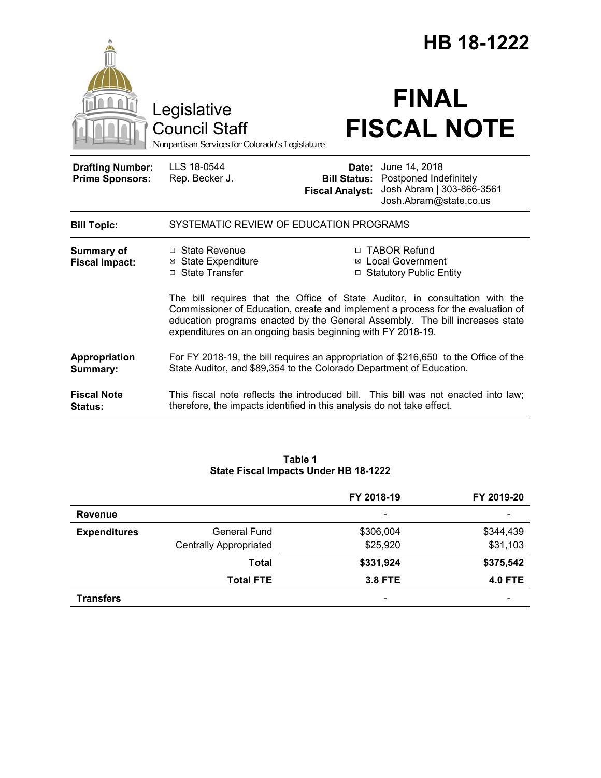|                                                   |                                                                                                                                                                                                                                                                                                                | HB 18-1222             |                                                                                                                                 |  |
|---------------------------------------------------|----------------------------------------------------------------------------------------------------------------------------------------------------------------------------------------------------------------------------------------------------------------------------------------------------------------|------------------------|---------------------------------------------------------------------------------------------------------------------------------|--|
|                                                   | Legislative<br><b>Council Staff</b><br>Nonpartisan Services for Colorado's Legislature                                                                                                                                                                                                                         |                        | <b>FINAL</b><br><b>FISCAL NOTE</b>                                                                                              |  |
| <b>Drafting Number:</b><br><b>Prime Sponsors:</b> | LLS 18-0544<br>Rep. Becker J.                                                                                                                                                                                                                                                                                  | <b>Fiscal Analyst:</b> | <b>Date:</b> June 14, 2018<br><b>Bill Status:</b> Postponed Indefinitely<br>Josh Abram   303-866-3561<br>Josh.Abram@state.co.us |  |
| <b>Bill Topic:</b>                                | SYSTEMATIC REVIEW OF EDUCATION PROGRAMS                                                                                                                                                                                                                                                                        |                        |                                                                                                                                 |  |
| Summary of<br><b>Fiscal Impact:</b>               | □ State Revenue<br><b>⊠</b> State Expenditure<br>□ State Transfer                                                                                                                                                                                                                                              |                        | □ TABOR Refund<br>⊠ Local Government<br>□ Statutory Public Entity                                                               |  |
|                                                   | The bill requires that the Office of State Auditor, in consultation with the<br>Commissioner of Education, create and implement a process for the evaluation of<br>education programs enacted by the General Assembly. The bill increases state<br>expenditures on an ongoing basis beginning with FY 2018-19. |                        |                                                                                                                                 |  |
| Appropriation<br>Summary:                         | For FY 2018-19, the bill requires an appropriation of \$216,650 to the Office of the<br>State Auditor, and \$89,354 to the Colorado Department of Education.                                                                                                                                                   |                        |                                                                                                                                 |  |
| <b>Fiscal Note</b><br>Status:                     | therefore, the impacts identified in this analysis do not take effect.                                                                                                                                                                                                                                         |                        | This fiscal note reflects the introduced bill. This bill was not enacted into law;                                              |  |

|                     |                               | FY 2018-19     | FY 2019-20               |
|---------------------|-------------------------------|----------------|--------------------------|
| <b>Revenue</b>      |                               | -              | $\overline{\phantom{0}}$ |
| <b>Expenditures</b> | <b>General Fund</b>           | \$306,004      | \$344,439                |
|                     | <b>Centrally Appropriated</b> | \$25,920       | \$31,103                 |
|                     | <b>Total</b>                  | \$331,924      | \$375,542                |
|                     | <b>Total FTE</b>              | <b>3.8 FTE</b> | <b>4.0 FTE</b>           |
| <b>Transfers</b>    |                               | -              |                          |

# **Table 1 State Fiscal Impacts Under HB 18-1222**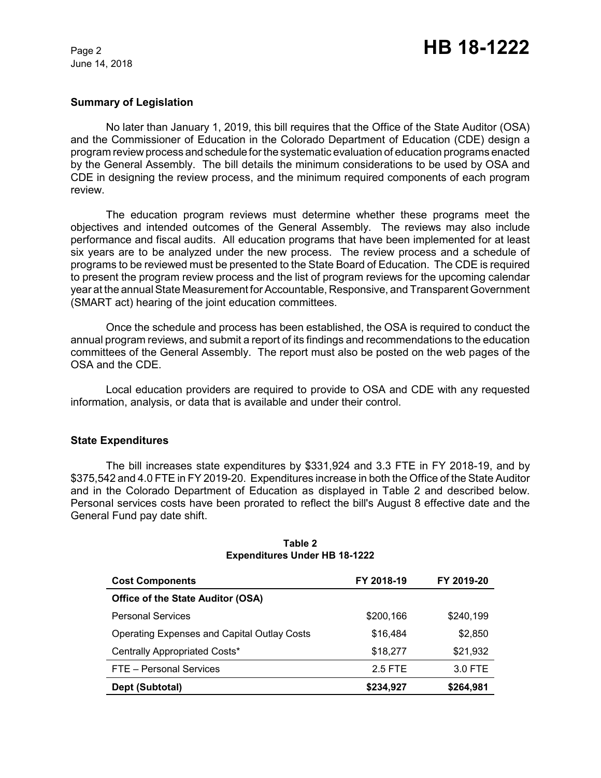June 14, 2018

#### **Summary of Legislation**

No later than January 1, 2019, this bill requires that the Office of the State Auditor (OSA) and the Commissioner of Education in the Colorado Department of Education (CDE) design a program review process and schedule for the systematic evaluation of education programs enacted by the General Assembly. The bill details the minimum considerations to be used by OSA and CDE in designing the review process, and the minimum required components of each program review.

The education program reviews must determine whether these programs meet the objectives and intended outcomes of the General Assembly. The reviews may also include performance and fiscal audits. All education programs that have been implemented for at least six years are to be analyzed under the new process. The review process and a schedule of programs to be reviewed must be presented to the State Board of Education. The CDE is required to present the program review process and the list of program reviews for the upcoming calendar year at the annual State Measurement for Accountable, Responsive, and Transparent Government (SMART act) hearing of the joint education committees.

Once the schedule and process has been established, the OSA is required to conduct the annual program reviews, and submit a report of its findings and recommendations to the education committees of the General Assembly. The report must also be posted on the web pages of the OSA and the CDE.

Local education providers are required to provide to OSA and CDE with any requested information, analysis, or data that is available and under their control.

#### **State Expenditures**

The bill increases state expenditures by \$331,924 and 3.3 FTE in FY 2018-19, and by \$375,542 and 4.0 FTE in FY 2019-20. Expenditures increase in both the Office of the State Auditor and in the Colorado Department of Education as displayed in Table 2 and described below. Personal services costs have been prorated to reflect the bill's August 8 effective date and the General Fund pay date shift.

| <b>Cost Components</b>                             | FY 2018-19 | FY 2019-20 |
|----------------------------------------------------|------------|------------|
| <b>Office of the State Auditor (OSA)</b>           |            |            |
| <b>Personal Services</b>                           | \$200,166  | \$240,199  |
| <b>Operating Expenses and Capital Outlay Costs</b> | \$16,484   | \$2,850    |
| Centrally Appropriated Costs*                      | \$18,277   | \$21,932   |
| FTE - Personal Services                            | 2.5 FTE    | 3.0 FTE    |
| Dept (Subtotal)                                    | \$234,927  | \$264,981  |

#### **Table 2 Expenditures Under HB 18-1222**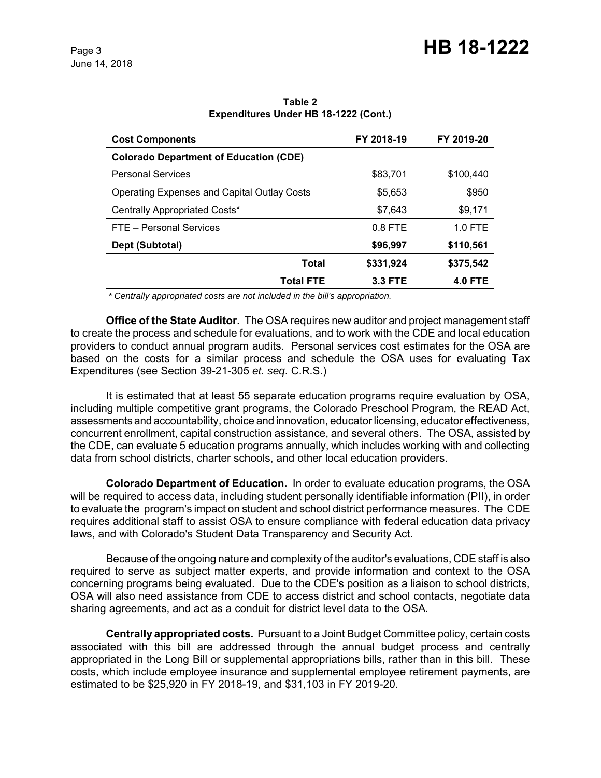| <b>Cost Components</b>                             | FY 2018-19     | FY 2019-20     |
|----------------------------------------------------|----------------|----------------|
| <b>Colorado Department of Education (CDE)</b>      |                |                |
| <b>Personal Services</b>                           | \$83,701       | \$100,440      |
| <b>Operating Expenses and Capital Outlay Costs</b> | \$5,653        | \$950          |
| Centrally Appropriated Costs*                      | \$7.643        | \$9,171        |
| FTE - Personal Services                            | $0.8$ FTE      | $1.0$ FTE      |
| Dept (Subtotal)                                    | \$96,997       | \$110,561      |
| Total                                              | \$331,924      | \$375,542      |
| <b>Total FTE</b>                                   | <b>3.3 FTE</b> | <b>4.0 FTE</b> |

**Table 2 Expenditures Under HB 18-1222 (Cont.)**

 *\* Centrally appropriated costs are not included in the bill's appropriation.*

**Office of the State Auditor.** The OSA requires new auditor and project management staff to create the process and schedule for evaluations, and to work with the CDE and local education providers to conduct annual program audits. Personal services cost estimates for the OSA are based on the costs for a similar process and schedule the OSA uses for evaluating Tax Expenditures (see Section 39-21-305 *et. seq*. C.R.S.)

It is estimated that at least 55 separate education programs require evaluation by OSA, including multiple competitive grant programs, the Colorado Preschool Program, the READ Act, assessments and accountability, choice and innovation, educator licensing, educator effectiveness, concurrent enrollment, capital construction assistance, and several others. The OSA, assisted by the CDE, can evaluate 5 education programs annually, which includes working with and collecting data from school districts, charter schools, and other local education providers.

**Colorado Department of Education.** In order to evaluate education programs, the OSA will be required to access data, including student personally identifiable information (PII), in order to evaluate the program's impact on student and school district performance measures. The CDE requires additional staff to assist OSA to ensure compliance with federal education data privacy laws, and with Colorado's Student Data Transparency and Security Act.

Because of the ongoing nature and complexity of the auditor's evaluations, CDE staff is also required to serve as subject matter experts, and provide information and context to the OSA concerning programs being evaluated. Due to the CDE's position as a liaison to school districts, OSA will also need assistance from CDE to access district and school contacts, negotiate data sharing agreements, and act as a conduit for district level data to the OSA.

**Centrally appropriated costs.** Pursuant to a Joint Budget Committee policy, certain costs associated with this bill are addressed through the annual budget process and centrally appropriated in the Long Bill or supplemental appropriations bills, rather than in this bill. These costs, which include employee insurance and supplemental employee retirement payments, are estimated to be \$25,920 in FY 2018-19, and \$31,103 in FY 2019-20.